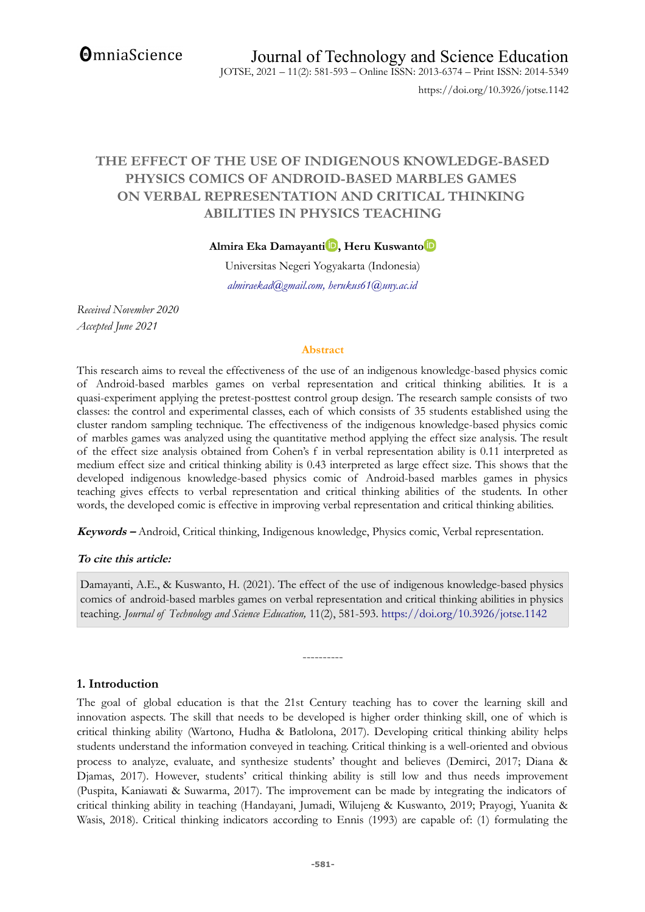**OmniaScience** 

https://doi.org/10.3926/jotse.1142

# **THE EFFECT OF THE USE OF INDIGENOUS KNOWLEDGE-BASED PHYSICS COMICS OF ANDROID-BASED MARBLES GAMES ON VERBAL REPRESENTATION AND CRITICAL THINKING ABILITIES IN PHYSICS TEACHING**

**Almira Eka Damayanti [,](https://orcid.org/0000-0002-1855-9895) Heru Kuswant[o](https://orcid.org/0000-0002-2693-8078)**

Universitas Negeri Yogyakarta (Indonesia) *almiraekad@gmail.com, herukus61@uny.ac.id*

*Received November 2020 Accepted June 2021*

#### **Abstract**

This research aims to reveal the effectiveness of the use of an indigenous knowledge-based physics comic of Android-based marbles games on verbal representation and critical thinking abilities. It is a quasi-experiment applying the pretest-posttest control group design. The research sample consists of two classes: the control and experimental classes, each of which consists of 35 students established using the cluster random sampling technique. The effectiveness of the indigenous knowledge-based physics comic of marbles games was analyzed using the quantitative method applying the effect size analysis. The result of the effect size analysis obtained from Cohen's f in verbal representation ability is 0.11 interpreted as medium effect size and critical thinking ability is 0.43 interpreted as large effect size. This shows that the developed indigenous knowledge-based physics comic of Android-based marbles games in physics teaching gives effects to verbal representation and critical thinking abilities of the students. In other words, the developed comic is effective in improving verbal representation and critical thinking abilities.

**Keywords –** Android, Critical thinking, Indigenous knowledge, Physics comic, Verbal representation.

#### **To cite this article:**

Damayanti, A.E., & Kuswanto, H. (2021). The effect of the use of indigenous knowledge-based physics comics of android-based marbles games on verbal representation and critical thinking abilities in physics teaching. *Journal of Technology and Science Education,* 11(2), 581-593[. https://doi.org/10.3926/jotse.1142](https://doi.org/10.3926/jotse.1142) 

----------

### **1. Introduction**

The goal of global education is that the 21st Century teaching has to cover the learning skill and innovation aspects. The skill that needs to be developed is higher order thinking skill, one of which is critical thinking ability (Wartono, Hudha & Batlolona, 2017). Developing critical thinking ability helps students understand the information conveyed in teaching. Critical thinking is a well-oriented and obvious process to analyze, evaluate, and synthesize students' thought and believes (Demirci, 2017; Diana & Djamas, 2017). However, students' critical thinking ability is still low and thus needs improvement (Puspita, Kaniawati & Suwarma, 2017). The improvement can be made by integrating the indicators of critical thinking ability in teaching (Handayani, Jumadi, Wilujeng & Kuswanto, 2019; Prayogi, Yuanita & Wasis, 2018). Critical thinking indicators according to Ennis (1993) are capable of: (1) formulating the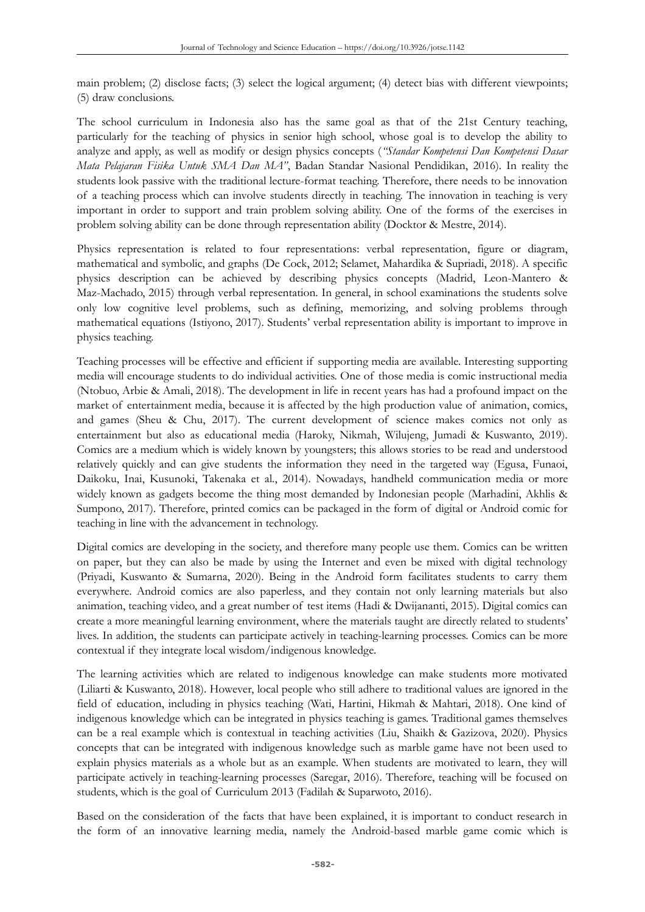main problem; (2) disclose facts; (3) select the logical argument; (4) detect bias with different viewpoints; (5) draw conclusions.

The school curriculum in Indonesia also has the same goal as that of the 21st Century teaching, particularly for the teaching of physics in senior high school, whose goal is to develop the ability to analyze and apply, as well as modify or design physics concepts (*"Standar Kompetensi Dan Kompetensi Dasar Mata Pelajaran Fisika Untuk SMA Dan MA"*, Badan Standar Nasional Pendidikan, 2016). In reality the students look passive with the traditional lecture-format teaching. Therefore, there needs to be innovation of a teaching process which can involve students directly in teaching. The innovation in teaching is very important in order to support and train problem solving ability. One of the forms of the exercises in problem solving ability can be done through representation ability (Docktor & Mestre, 2014).

Physics representation is related to four representations: verbal representation, figure or diagram, mathematical and symbolic, and graphs (De Cock, 2012; Selamet, Mahardika & Supriadi, 2018). A specific physics description can be achieved by describing physics concepts (Madrid, Leon-Mantero & Maz-Machado, 2015) through verbal representation. In general, in school examinations the students solve only low cognitive level problems, such as defining, memorizing, and solving problems through mathematical equations (Istiyono, 2017). Students' verbal representation ability is important to improve in physics teaching.

Teaching processes will be effective and efficient if supporting media are available. Interesting supporting media will encourage students to do individual activities. One of those media is comic instructional media (Ntobuo, Arbie & Amali, 2018). The development in life in recent years has had a profound impact on the market of entertainment media, because it is affected by the high production value of animation, comics, and games (Sheu & Chu, 2017). The current development of science makes comics not only as entertainment but also as educational media (Haroky, Nikmah, Wilujeng, Jumadi & Kuswanto, 2019). Comics are a medium which is widely known by youngsters; this allows stories to be read and understood relatively quickly and can give students the information they need in the targeted way (Egusa, Funaoi, Daikoku, Inai, Kusunoki, Takenaka et al., 2014). Nowadays, handheld communication media or more widely known as gadgets become the thing most demanded by Indonesian people (Marhadini, Akhlis & Sumpono, 2017). Therefore, printed comics can be packaged in the form of digital or Android comic for teaching in line with the advancement in technology.

Digital comics are developing in the society, and therefore many people use them. Comics can be written on paper, but they can also be made by using the Internet and even be mixed with digital technology (Priyadi, Kuswanto & Sumarna, 2020). Being in the Android form facilitates students to carry them everywhere. Android comics are also paperless, and they contain not only learning materials but also animation, teaching video, and a great number of test items (Hadi & Dwijananti, 2015). Digital comics can create a more meaningful learning environment, where the materials taught are directly related to students' lives. In addition, the students can participate actively in teaching-learning processes. Comics can be more contextual if they integrate local wisdom/indigenous knowledge.

The learning activities which are related to indigenous knowledge can make students more motivated (Liliarti & Kuswanto, 2018). However, local people who still adhere to traditional values are ignored in the field of education, including in physics teaching (Wati, Hartini, Hikmah & Mahtari, 2018). One kind of indigenous knowledge which can be integrated in physics teaching is games. Traditional games themselves can be a real example which is contextual in teaching activities (Liu, Shaikh & Gazizova, 2020). Physics concepts that can be integrated with indigenous knowledge such as marble game have not been used to explain physics materials as a whole but as an example. When students are motivated to learn, they will participate actively in teaching-learning processes (Saregar, 2016). Therefore, teaching will be focused on students, which is the goal of Curriculum 2013 (Fadilah & Suparwoto, 2016).

Based on the consideration of the facts that have been explained, it is important to conduct research in the form of an innovative learning media, namely the Android-based marble game comic which is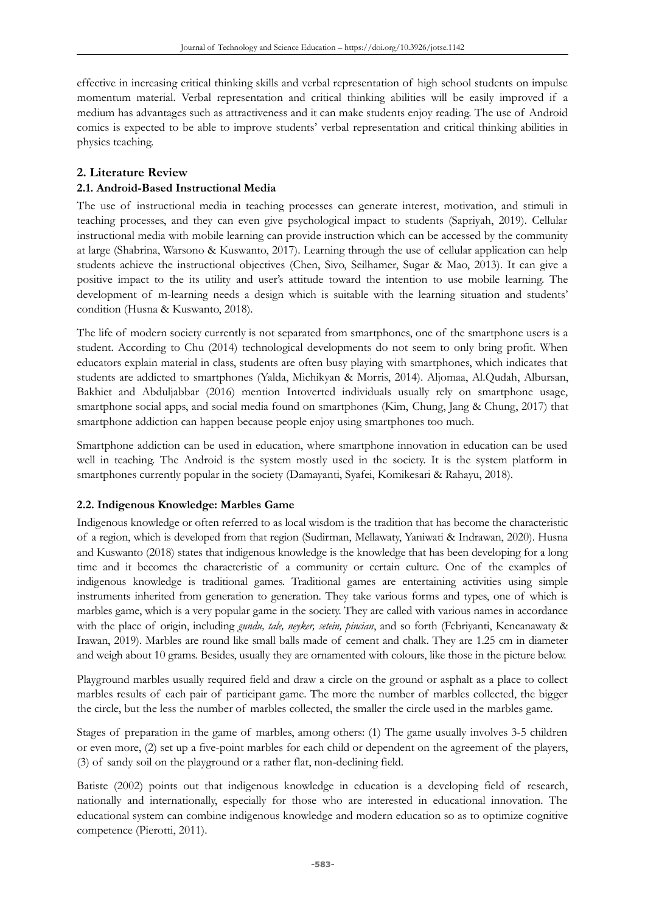effective in increasing critical thinking skills and verbal representation of high school students on impulse momentum material. Verbal representation and critical thinking abilities will be easily improved if a medium has advantages such as attractiveness and it can make students enjoy reading. The use of Android comics is expected to be able to improve students' verbal representation and critical thinking abilities in physics teaching.

### **2. Literature Review**

### **2.1. Android-Based Instructional Media**

The use of instructional media in teaching processes can generate interest, motivation, and stimuli in teaching processes, and they can even give psychological impact to students (Sapriyah, 2019). Cellular instructional media with mobile learning can provide instruction which can be accessed by the community at large (Shabrina, Warsono & Kuswanto, 2017). Learning through the use of cellular application can help students achieve the instructional objectives (Chen, Sivo, Seilhamer, Sugar & Mao, 2013). It can give a positive impact to the its utility and user's attitude toward the intention to use mobile learning. The development of m-learning needs a design which is suitable with the learning situation and students' condition (Husna & Kuswanto, 2018).

The life of modern society currently is not separated from smartphones, one of the smartphone users is a student. According to Chu (2014) technological developments do not seem to only bring profit. When educators explain material in class, students are often busy playing with smartphones, which indicates that students are addicted to smartphones (Yalda, Michikyan & Morris, 2014). Aljomaa, Al.Qudah, Albursan, Bakhiet and Abduljabbar (2016) mention Intoverted individuals usually rely on smartphone usage, smartphone social apps, and social media found on smartphones (Kim, Chung, Jang & Chung, 2017) that smartphone addiction can happen because people enjoy using smartphones too much.

Smartphone addiction can be used in education, where smartphone innovation in education can be used well in teaching. The Android is the system mostly used in the society. It is the system platform in smartphones currently popular in the society (Damayanti, Syafei, Komikesari & Rahayu, 2018).

#### **2.2. Indigenous Knowledge: Marbles Game**

Indigenous knowledge or often referred to as local wisdom is the tradition that has become the characteristic of a region, which is developed from that region (Sudirman, Mellawaty, Yaniwati & Indrawan, 2020). Husna and Kuswanto (2018) states that indigenous knowledge is the knowledge that has been developing for a long time and it becomes the characteristic of a community or certain culture. One of the examples of indigenous knowledge is traditional games. Traditional games are entertaining activities using simple instruments inherited from generation to generation. They take various forms and types, one of which is marbles game, which is a very popular game in the society. They are called with various names in accordance with the place of origin, including *gundu, tale, neyker, setein, pincian*, and so forth (Febriyanti, Kencanawaty & Irawan, 2019). Marbles are round like small balls made of cement and chalk. They are 1.25 cm in diameter and weigh about 10 grams. Besides, usually they are ornamented with colours, like those in the picture below.

Playground marbles usually required field and draw a circle on the ground or asphalt as a place to collect marbles results of each pair of participant game. The more the number of marbles collected, the bigger the circle, but the less the number of marbles collected, the smaller the circle used in the marbles game.

Stages of preparation in the game of marbles, among others: (1) The game usually involves 3-5 children or even more, (2) set up a five-point marbles for each child or dependent on the agreement of the players, (3) of sandy soil on the playground or a rather flat, non-declining field.

Batiste (2002) points out that indigenous knowledge in education is a developing field of research, nationally and internationally, especially for those who are interested in educational innovation. The educational system can combine indigenous knowledge and modern education so as to optimize cognitive competence (Pierotti, 2011).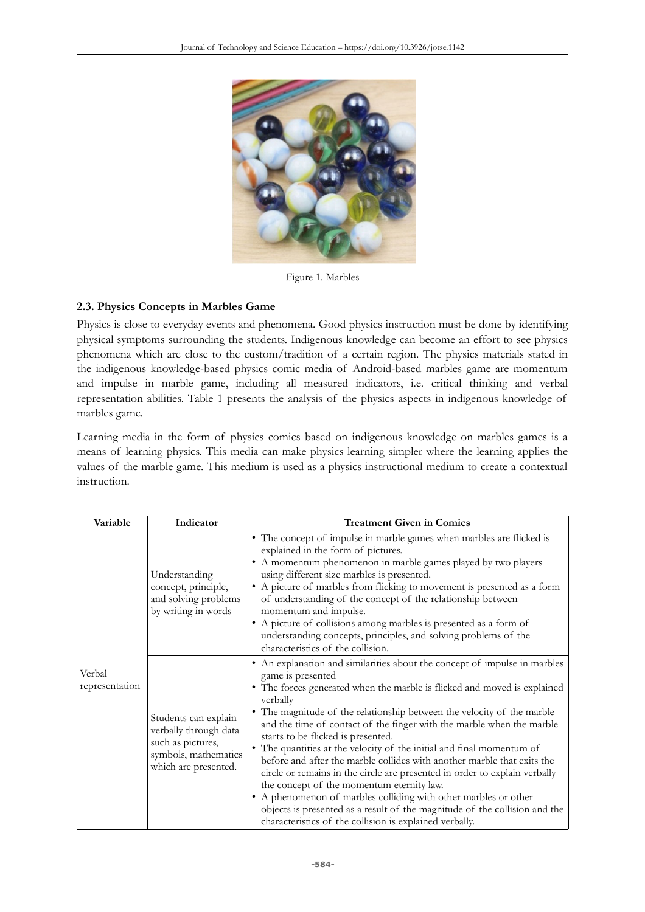

Figure 1. Marbles

#### **2.3. Physics Concepts in Marbles Game**

Physics is close to everyday events and phenomena. Good physics instruction must be done by identifying physical symptoms surrounding the students. Indigenous knowledge can become an effort to see physics phenomena which are close to the custom/tradition of a certain region. The physics materials stated in the indigenous knowledge-based physics comic media of Android-based marbles game are momentum and impulse in marble game, including all measured indicators, i.e. critical thinking and verbal representation abilities. Table 1 presents the analysis of the physics aspects in indigenous knowledge of marbles game.

Learning media in the form of physics comics based on indigenous knowledge on marbles games is a means of learning physics. This media can make physics learning simpler where the learning applies the values of the marble game. This medium is used as a physics instructional medium to create a contextual instruction.

| Variable                 | Indicator                                                                                                          | <b>Treatment Given in Comics</b>                                                                                                                                                                                                                                                                                                                                                                                                                                                                                                                                                                                                                                                                                                                                                                                                                                           |  |  |
|--------------------------|--------------------------------------------------------------------------------------------------------------------|----------------------------------------------------------------------------------------------------------------------------------------------------------------------------------------------------------------------------------------------------------------------------------------------------------------------------------------------------------------------------------------------------------------------------------------------------------------------------------------------------------------------------------------------------------------------------------------------------------------------------------------------------------------------------------------------------------------------------------------------------------------------------------------------------------------------------------------------------------------------------|--|--|
|                          | Understanding<br>concept, principle,<br>and solving problems<br>by writing in words                                | • The concept of impulse in marble games when marbles are flicked is<br>explained in the form of pictures.<br>• A momentum phenomenon in marble games played by two players<br>using different size marbles is presented.<br>• A picture of marbles from flicking to movement is presented as a form<br>of understanding of the concept of the relationship between<br>momentum and impulse.<br>• A picture of collisions among marbles is presented as a form of<br>understanding concepts, principles, and solving problems of the<br>characteristics of the collision.                                                                                                                                                                                                                                                                                                  |  |  |
| Verbal<br>representation | Students can explain<br>verbally through data<br>such as pictures,<br>symbols, mathematics<br>which are presented. | • An explanation and similarities about the concept of impulse in marbles<br>game is presented<br>• The forces generated when the marble is flicked and moved is explained<br>verbally<br>• The magnitude of the relationship between the velocity of the marble<br>and the time of contact of the finger with the marble when the marble<br>starts to be flicked is presented.<br>• The quantities at the velocity of the initial and final momentum of<br>before and after the marble collides with another marble that exits the<br>circle or remains in the circle are presented in order to explain verbally<br>the concept of the momentum eternity law.<br>• A phenomenon of marbles colliding with other marbles or other<br>objects is presented as a result of the magnitude of the collision and the<br>characteristics of the collision is explained verbally. |  |  |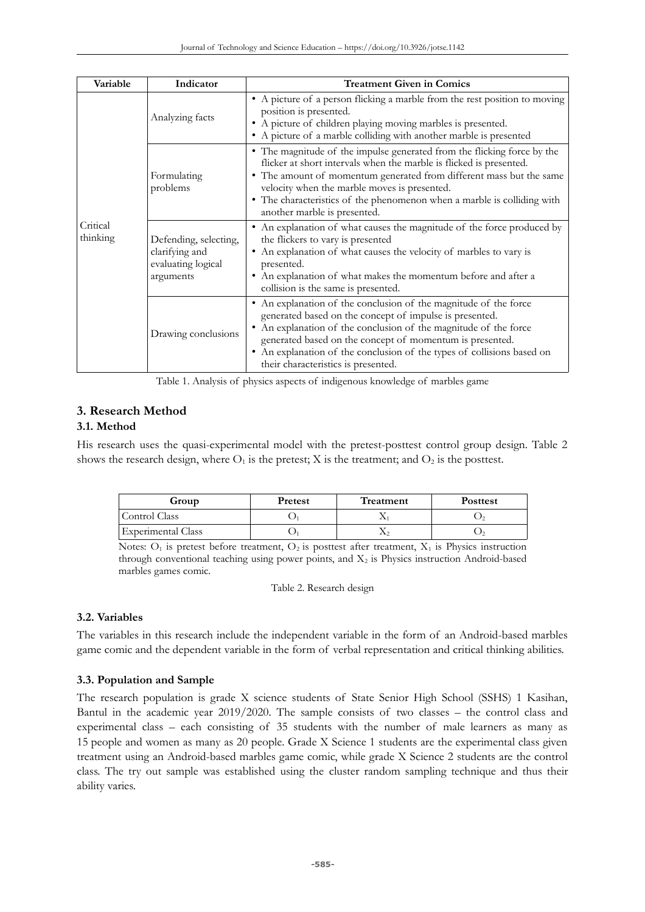| Variable             | Indicator                                                                  | <b>Treatment Given in Comics</b>                                                                                                                                                                                                                                                                                                                                                 |  |  |
|----------------------|----------------------------------------------------------------------------|----------------------------------------------------------------------------------------------------------------------------------------------------------------------------------------------------------------------------------------------------------------------------------------------------------------------------------------------------------------------------------|--|--|
|                      | Analyzing facts                                                            | • A picture of a person flicking a marble from the rest position to moving<br>position is presented.<br>A picture of children playing moving marbles is presented.<br>٠<br>• A picture of a marble colliding with another marble is presented                                                                                                                                    |  |  |
| Critical<br>thinking | Formulating<br>problems                                                    | • The magnitude of the impulse generated from the flicking force by the<br>flicker at short intervals when the marble is flicked is presented.<br>• The amount of momentum generated from different mass but the same<br>velocity when the marble moves is presented.<br>• The characteristics of the phenomenon when a marble is colliding with<br>another marble is presented. |  |  |
|                      | Defending, selecting,<br>clarifying and<br>evaluating logical<br>arguments | An explanation of what causes the magnitude of the force produced by<br>٠<br>the flickers to vary is presented<br>An explanation of what causes the velocity of marbles to vary is<br>presented.<br>• An explanation of what makes the momentum before and after a<br>collision is the same is presented.                                                                        |  |  |
|                      | Drawing conclusions                                                        | An explanation of the conclusion of the magnitude of the force<br>generated based on the concept of impulse is presented.<br>An explanation of the conclusion of the magnitude of the force<br>٠<br>generated based on the concept of momentum is presented.<br>• An explanation of the conclusion of the types of collisions based on<br>their characteristics is presented.    |  |  |

Table 1. Analysis of physics aspects of indigenous knowledge of marbles game

## **3. Research Method**

### **3.1. Method**

His research uses the quasi-experimental model with the pretest-posttest control group design. Table 2 shows the research design, where  $O_1$  is the pretest; X is the treatment; and  $O_2$  is the posttest.

| Group              | <b>Pretest</b> | Treatment | <b>Posttest</b> |  |
|--------------------|----------------|-----------|-----------------|--|
| Control Class      |                |           |                 |  |
| Experimental Class |                |           |                 |  |
|                    |                |           | ____<br>___     |  |

Notes:  $O_1$  is pretest before treatment,  $O_2$  is posttest after treatment,  $X_1$  is Physics instruction through conventional teaching using power points, and  $X_2$  is Physics instruction Android-based marbles games comic.

Table 2. Research design

### **3.2. Variables**

The variables in this research include the independent variable in the form of an Android-based marbles game comic and the dependent variable in the form of verbal representation and critical thinking abilities.

### **3.3. Population and Sample**

The research population is grade X science students of State Senior High School (SSHS) 1 Kasihan, Bantul in the academic year 2019/2020. The sample consists of two classes – the control class and experimental class – each consisting of 35 students with the number of male learners as many as 15 people and women as many as 20 people. Grade X Science 1 students are the experimental class given treatment using an Android-based marbles game comic, while grade X Science 2 students are the control class. The try out sample was established using the cluster random sampling technique and thus their ability varies.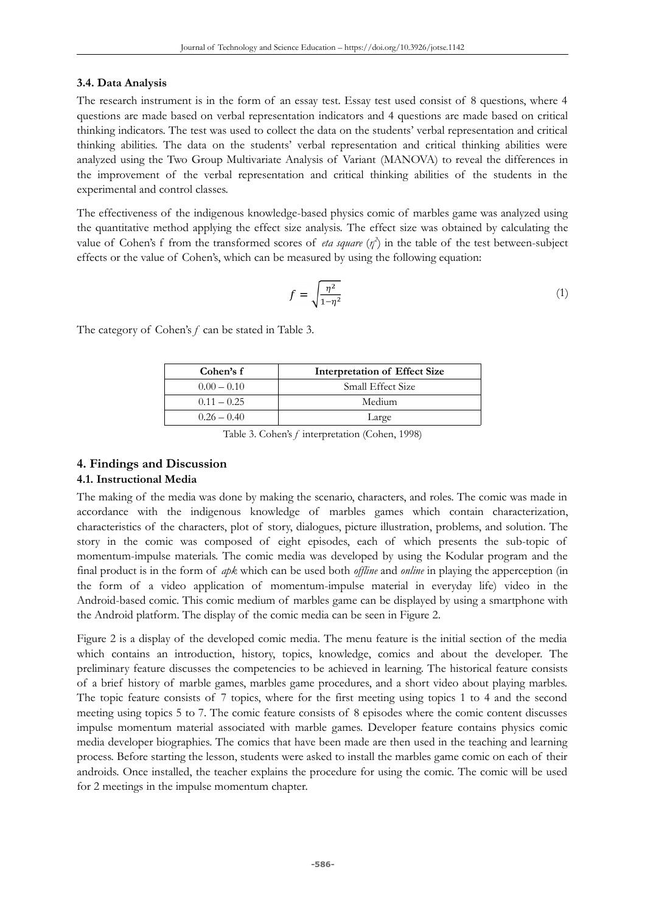#### **3.4. Data Analysis**

The research instrument is in the form of an essay test. Essay test used consist of 8 questions, where 4 questions are made based on verbal representation indicators and 4 questions are made based on critical thinking indicators. The test was used to collect the data on the students' verbal representation and critical thinking abilities. The data on the students' verbal representation and critical thinking abilities were analyzed using the Two Group Multivariate Analysis of Variant (MANOVA) to reveal the differences in the improvement of the verbal representation and critical thinking abilities of the students in the experimental and control classes.

The effectiveness of the indigenous knowledge-based physics comic of marbles game was analyzed using the quantitative method applying the effect size analysis. The effect size was obtained by calculating the value of Cohen's f from the transformed scores of *eta square*  $(\eta^2)$  in the table of the test between-subject effects or the value of Cohen's, which can be measured by using the following equation:

$$
f = \sqrt{\frac{\eta^2}{1 - \eta^2}}\tag{1}
$$

The category of Cohen's *f* can be stated in Table 3.

| Cohen's f     | <b>Interpretation of Effect Size</b> |  |  |
|---------------|--------------------------------------|--|--|
| $0.00 - 0.10$ | Small Effect Size                    |  |  |
| $0.11 - 0.25$ | Medium                               |  |  |
| $0.26 - 0.40$ | Large                                |  |  |

Table 3. Cohen's *f* interpretation (Cohen, 1998)

### **4. Findings and Discussion**

#### **4.1. Instructional Media**

The making of the media was done by making the scenario, characters, and roles. The comic was made in accordance with the indigenous knowledge of marbles games which contain characterization, characteristics of the characters, plot of story, dialogues, picture illustration, problems, and solution. The story in the comic was composed of eight episodes, each of which presents the sub-topic of momentum-impulse materials. The comic media was developed by using the Kodular program and the final product is in the form of *apk* which can be used both *offline* and *online* in playing the apperception (in the form of a video application of momentum-impulse material in everyday life) video in the Android-based comic. This comic medium of marbles game can be displayed by using a smartphone with the Android platform. The display of the comic media can be seen in Figure 2.

Figure 2 is a display of the developed comic media. The menu feature is the initial section of the media which contains an introduction, history, topics, knowledge, comics and about the developer. The preliminary feature discusses the competencies to be achieved in learning. The historical feature consists of a brief history of marble games, marbles game procedures, and a short video about playing marbles. The topic feature consists of 7 topics, where for the first meeting using topics 1 to 4 and the second meeting using topics 5 to 7. The comic feature consists of 8 episodes where the comic content discusses impulse momentum material associated with marble games. Developer feature contains physics comic media developer biographies. The comics that have been made are then used in the teaching and learning process. Before starting the lesson, students were asked to install the marbles game comic on each of their androids. Once installed, the teacher explains the procedure for using the comic. The comic will be used for 2 meetings in the impulse momentum chapter.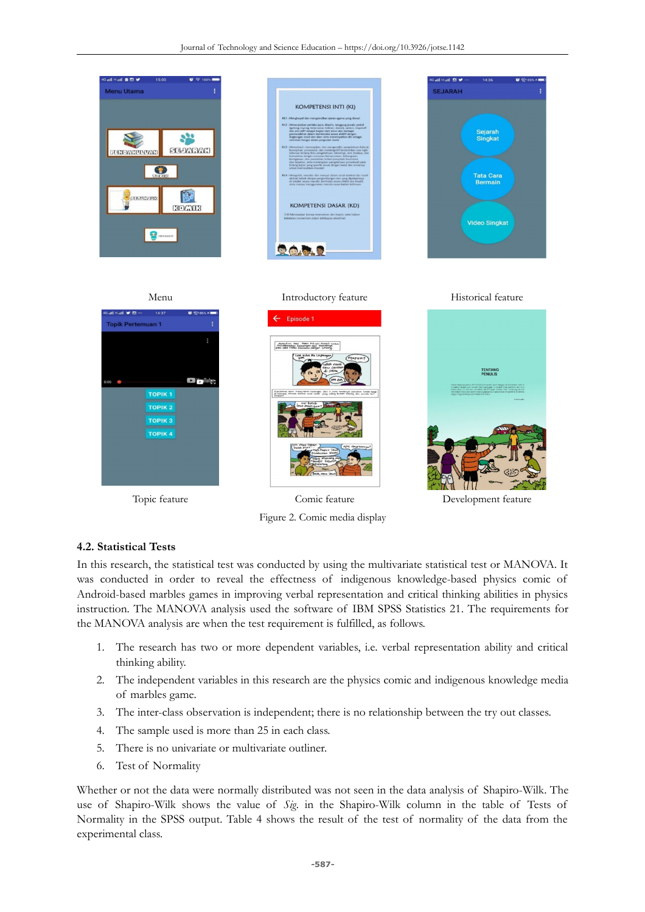

Figure 2. Comic media display

Topic feature Comic feature Development feature

#### **4.2. Statistical Tests**

In this research, the statistical test was conducted by using the multivariate statistical test or MANOVA. It was conducted in order to reveal the effectness of indigenous knowledge-based physics comic of Android-based marbles games in improving verbal representation and critical thinking abilities in physics instruction. The MANOVA analysis used the software of IBM SPSS Statistics 21. The requirements for the MANOVA analysis are when the test requirement is fulfilled, as follows.

- 1. The research has two or more dependent variables, i.e. verbal representation ability and critical thinking ability.
- 2. The independent variables in this research are the physics comic and indigenous knowledge media of marbles game.
- 3. The inter-class observation is independent; there is no relationship between the try out classes.
- 4. The sample used is more than 25 in each class.
- 5. There is no univariate or multivariate outliner.
- 6. Test of Normality

Whether or not the data were normally distributed was not seen in the data analysis of Shapiro-Wilk. The use of Shapiro-Wilk shows the value of *Sig.* in the Shapiro-Wilk column in the table of Tests of Normality in the SPSS output. Table 4 shows the result of the test of normality of the data from the experimental class.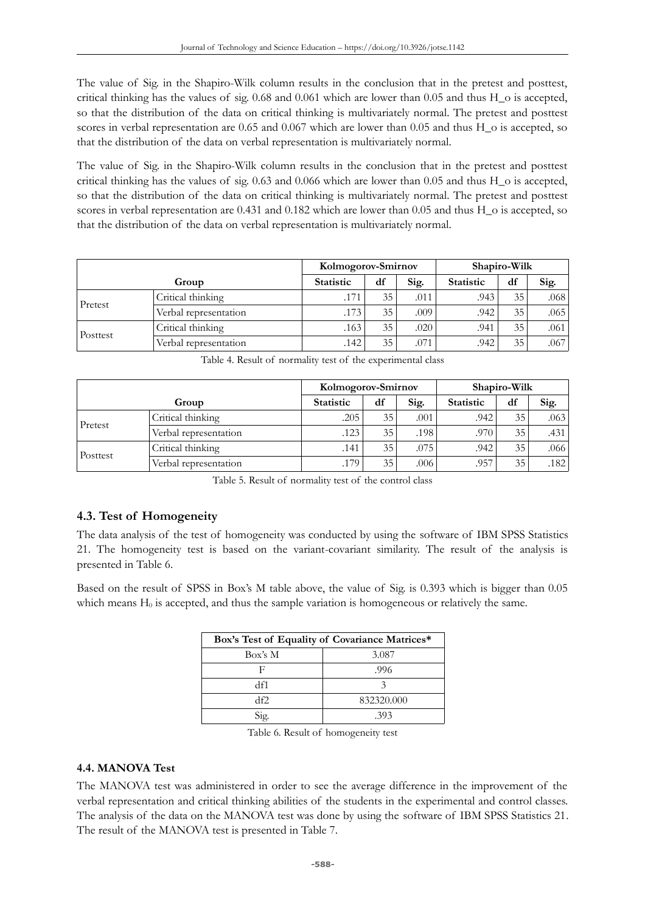The value of Sig. in the Shapiro-Wilk column results in the conclusion that in the pretest and posttest, critical thinking has the values of sig. 0.68 and 0.061 which are lower than 0.05 and thus H\_o is accepted, so that the distribution of the data on critical thinking is multivariately normal. The pretest and posttest scores in verbal representation are 0.65 and 0.067 which are lower than 0.05 and thus H\_o is accepted, so that the distribution of the data on verbal representation is multivariately normal.

The value of Sig. in the Shapiro-Wilk column results in the conclusion that in the pretest and posttest critical thinking has the values of sig. 0.63 and 0.066 which are lower than 0.05 and thus H\_o is accepted, so that the distribution of the data on critical thinking is multivariately normal. The pretest and posttest scores in verbal representation are 0.431 and 0.182 which are lower than 0.05 and thus H\_o is accepted, so that the distribution of the data on verbal representation is multivariately normal.

|          |                       | Kolmogorov-Smirnov |    |      | Shapiro-Wilk     |    |      |
|----------|-----------------------|--------------------|----|------|------------------|----|------|
|          | Group                 | <b>Statistic</b>   | df | Sig. | <b>Statistic</b> | df | Sig. |
| Pretest  | Critical thinking     | .171               | 35 | .011 | .943             | 35 | .068 |
|          | Verbal representation | .173               | 35 | .009 | .942             | 35 | .065 |
| Posttest | Critical thinking     | .163               | 35 | .020 | .941             | 35 | .061 |
|          | Verbal representation | 142                | 35 | .071 | .942             | 35 | .067 |

|          |                       | Kolmogorov-Smirnov |    |      | Shapiro-Wilk     |    |      |
|----------|-----------------------|--------------------|----|------|------------------|----|------|
|          | Group                 | <b>Statistic</b>   | df | Sig. | <b>Statistic</b> | df | Sig. |
| Pretest  | Critical thinking     | .205               | 35 | .001 | .942             | 35 | .063 |
|          | Verbal representation | .123'              | 35 | .198 | .970             | 35 | .431 |
| Posttest | Critical thinking     | .141               | 35 | .075 | .942             | 35 | .066 |
|          | Verbal representation | .179               | 35 | .006 | .957             | 35 | .182 |

Table 4. Result of normality test of the experimental class

Table 5. Result of normality test of the control class

### **4.3. Test of Homogeneity**

The data analysis of the test of homogeneity was conducted by using the software of IBM SPSS Statistics 21. The homogeneity test is based on the variant-covariant similarity. The result of the analysis is presented in Table 6.

Based on the result of SPSS in Box's M table above, the value of Sig. is 0.393 which is bigger than 0.05 which means  $H_0$  is accepted, and thus the sample variation is homogeneous or relatively the same.

| Box's Test of Equality of Covariance Matrices* |            |  |  |  |
|------------------------------------------------|------------|--|--|--|
| Box's M                                        | 3.087      |  |  |  |
| н                                              | .996       |  |  |  |
| df1                                            |            |  |  |  |
| df2                                            | 832320.000 |  |  |  |
| Sig.                                           | -393       |  |  |  |

Table 6. Result of homogeneity test

### **4.4. MANOVA Test**

The MANOVA test was administered in order to see the average difference in the improvement of the verbal representation and critical thinking abilities of the students in the experimental and control classes. The analysis of the data on the MANOVA test was done by using the software of IBM SPSS Statistics 21. The result of the MANOVA test is presented in Table 7.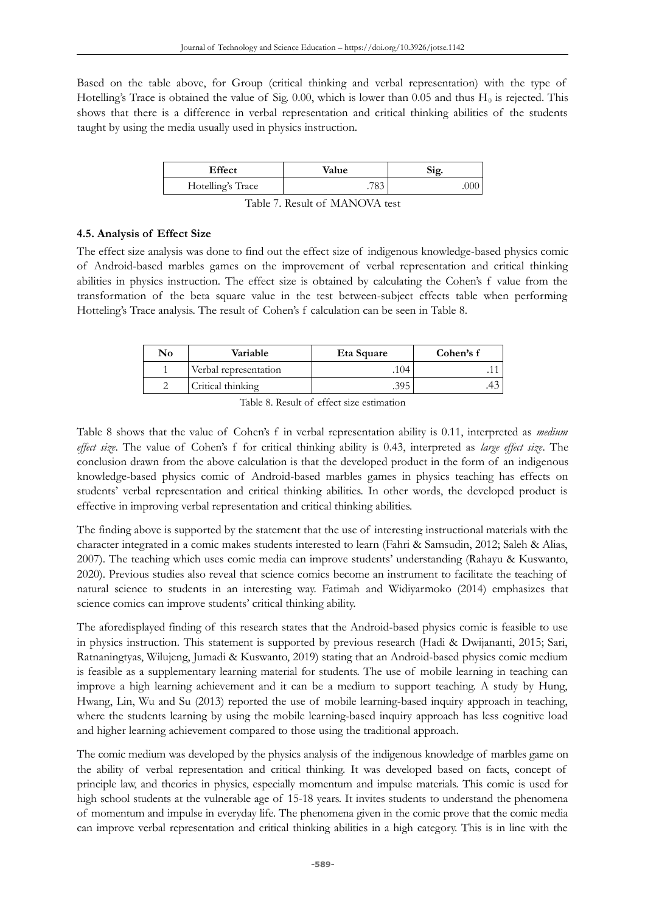Based on the table above, for Group (critical thinking and verbal representation) with the type of Hotelling's Trace is obtained the value of Sig. 0.00, which is lower than 0.05 and thus  $H_0$  is rejected. This shows that there is a difference in verbal representation and critical thinking abilities of the students taught by using the media usually used in physics instruction.

| Effect            | Value | Sig.        |
|-------------------|-------|-------------|
| Hotelling's Trace |       | ( ) ( ) ( ) |

Table 7. Result of MANOVA test

### **4.5. Analysis of Effect Size**

The effect size analysis was done to find out the effect size of indigenous knowledge-based physics comic of Android-based marbles games on the improvement of verbal representation and critical thinking abilities in physics instruction. The effect size is obtained by calculating the Cohen's f value from the transformation of the beta square value in the test between-subject effects table when performing Hotteling's Trace analysis. The result of Cohen's f calculation can be seen in Table 8.

| No | Variable              | Eta Square | Cohen's f |  |  |
|----|-----------------------|------------|-----------|--|--|
|    | Verbal representation | .104'      |           |  |  |
|    | Critical thinking     | .395       |           |  |  |

Table 8. Result of effect size estimation

Table 8 shows that the value of Cohen's f in verbal representation ability is 0.11, interpreted as *medium effect size*. The value of Cohen's f for critical thinking ability is 0.43, interpreted as *large effect size*. The conclusion drawn from the above calculation is that the developed product in the form of an indigenous knowledge-based physics comic of Android-based marbles games in physics teaching has effects on students' verbal representation and critical thinking abilities. In other words, the developed product is effective in improving verbal representation and critical thinking abilities.

The finding above is supported by the statement that the use of interesting instructional materials with the character integrated in a comic makes students interested to learn (Fahri & Samsudin, 2012; Saleh & Alias, 2007). The teaching which uses comic media can improve students' understanding (Rahayu & Kuswanto, 2020). Previous studies also reveal that science comics become an instrument to facilitate the teaching of natural science to students in an interesting way. Fatimah and Widiyarmoko (2014) emphasizes that science comics can improve students' critical thinking ability.

The aforedisplayed finding of this research states that the Android-based physics comic is feasible to use in physics instruction. This statement is supported by previous research (Hadi & Dwijananti, 2015; Sari, Ratnaningtyas, Wilujeng, Jumadi & Kuswanto, 2019) stating that an Android-based physics comic medium is feasible as a supplementary learning material for students. The use of mobile learning in teaching can improve a high learning achievement and it can be a medium to support teaching. A study by Hung, Hwang, Lin, Wu and Su (2013) reported the use of mobile learning-based inquiry approach in teaching, where the students learning by using the mobile learning-based inquiry approach has less cognitive load and higher learning achievement compared to those using the traditional approach.

The comic medium was developed by the physics analysis of the indigenous knowledge of marbles game on the ability of verbal representation and critical thinking. It was developed based on facts, concept of principle law, and theories in physics, especially momentum and impulse materials. This comic is used for high school students at the vulnerable age of 15-18 years. It invites students to understand the phenomena of momentum and impulse in everyday life. The phenomena given in the comic prove that the comic media can improve verbal representation and critical thinking abilities in a high category. This is in line with the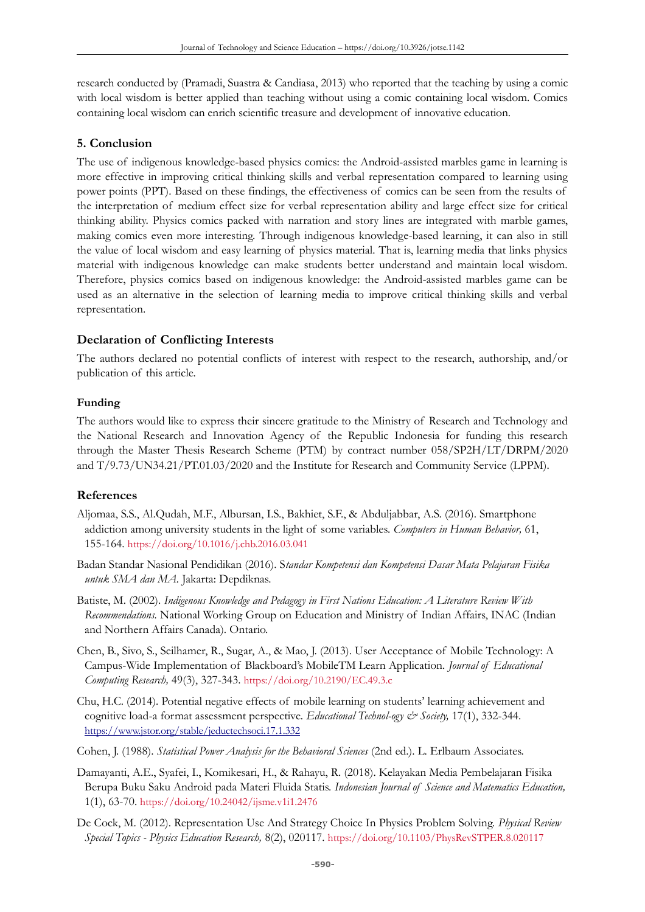research conducted by (Pramadi, Suastra & Candiasa, 2013) who reported that the teaching by using a comic with local wisdom is better applied than teaching without using a comic containing local wisdom. Comics containing local wisdom can enrich scientific treasure and development of innovative education.

### **5. Conclusion**

The use of indigenous knowledge-based physics comics: the Android-assisted marbles game in learning is more effective in improving critical thinking skills and verbal representation compared to learning using power points (PPT). Based on these findings, the effectiveness of comics can be seen from the results of the interpretation of medium effect size for verbal representation ability and large effect size for critical thinking ability. Physics comics packed with narration and story lines are integrated with marble games, making comics even more interesting. Through indigenous knowledge-based learning, it can also in still the value of local wisdom and easy learning of physics material. That is, learning media that links physics material with indigenous knowledge can make students better understand and maintain local wisdom. Therefore, physics comics based on indigenous knowledge: the Android-assisted marbles game can be used as an alternative in the selection of learning media to improve critical thinking skills and verbal representation.

#### **Declaration of Conflicting Interests**

The authors declared no potential conflicts of interest with respect to the research, authorship, and/or publication of this article.

#### **Funding**

The authors would like to express their sincere gratitude to the Ministry of Research and Technology and the National Research and Innovation Agency of the Republic Indonesia for funding this research through the Master Thesis Research Scheme (PTM) by contract number 058/SP2H/LT/DRPM/2020 and T/9.73/UN34.21/PT.01.03/2020 and the Institute for Research and Community Service (LPPM).

#### **References**

- Aljomaa, S.S., Al.Qudah, M.F., Albursan, I.S., Bakhiet, S.F., & Abduljabbar, A.S. (2016). Smartphone addiction among university students in the light of some variables. *Computers in Human Behavior,* 61, 155-164. <https://doi.org/10.1016/j.chb.2016.03.041>
- Badan Standar Nasional Pendidikan (2016). S*tandar Kompetensi dan Kompetensi Dasar Mata Pelajaran Fisika untuk SMA dan MA.* Jakarta: Depdiknas.
- Batiste, M. (2002). *Indigenous Knowledge and Pedagogy in First Nations Education: A Literature Review With Recommendations.* National Working Group on Education and Ministry of Indian Affairs, INAC (Indian and Northern Affairs Canada). Ontario.
- Chen, B., Sivo, S., Seilhamer, R., Sugar, A., & Mao, J. (2013). User Acceptance of Mobile Technology: A Campus-Wide Implementation of Blackboard's MobileTM Learn Application. *Journal of Educational Computing Research,* 49(3), 327-343. <https://doi.org/10.2190/EC.49.3.c>
- Chu, H.C. (2014). Potential negative effects of mobile learning on students' learning achievement and cognitive load-a format assessment perspective. *Educational Technol-ogy & Society,* 17(1), 332-344. <https://www.jstor.org/stable/jeductechsoci.17.1.332>
- Cohen, J. (1988). *Statistical Power Analysis for the Behavioral Sciences* (2nd ed.). L. Erlbaum Associates.
- Damayanti, A.E., Syafei, I., Komikesari, H., & Rahayu, R. (2018). Kelayakan Media Pembelajaran Fisika Berupa Buku Saku Android pada Materi Fluida Statis. *Indonesian Journal of Science and Matematics Education,* 1(1), 63-70. <https://doi.org/10.24042/ijsme.v1i1.2476>
- De Cock, M. (2012). Representation Use And Strategy Choice In Physics Problem Solving. *Physical Review Special Topics - Physics Education Research,* 8(2), 020117. <https://doi.org/10.1103/PhysRevSTPER.8.020117>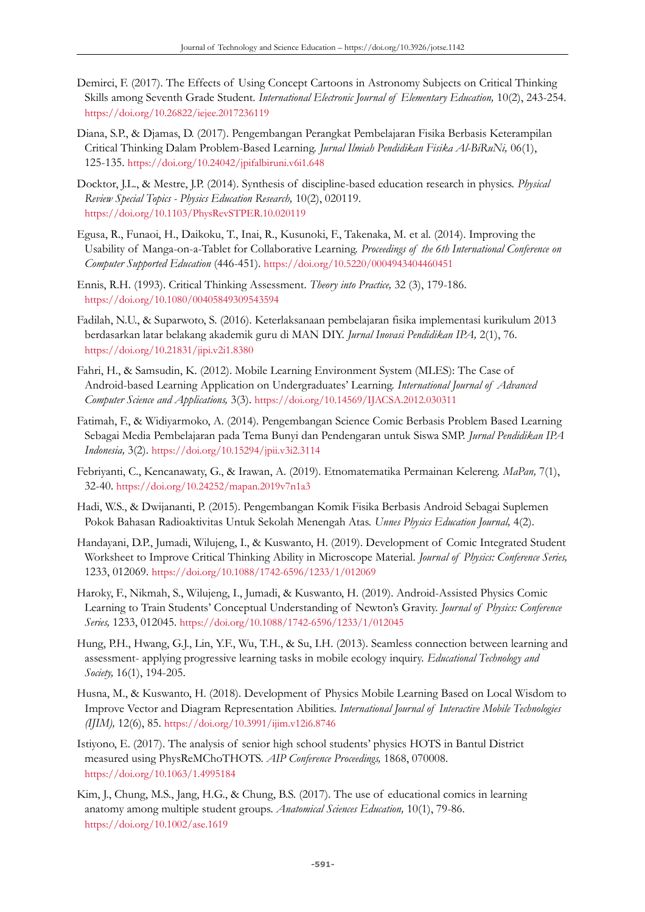- Demirci, F. (2017). The Effects of Using Concept Cartoons in Astronomy Subjects on Critical Thinking Skills among Seventh Grade Student. *International Electronic Journal of Elementary Education*, 10(2), 243-254. <https://doi.org/10.26822/iejee.2017236119>
- Diana, S.P., & Djamas, D. (2017). Pengembangan Perangkat Pembelajaran Fisika Berbasis Keterampilan Critical Thinking Dalam Problem-Based Learning. *Jurnal Ilmiah Pendidikan Fisika Al-BiRuNi,* 06(1), 125-135. <https://doi.org/10.24042/jpifalbiruni.v6i1.648>
- Docktor, J.L., & Mestre, J.P. (2014). Synthesis of discipline-based education research in physics. *Physical Review Special Topics - Physics Education Research,* 10(2), 020119. <https://doi.org/10.1103/PhysRevSTPER.10.020119>
- Egusa, R., Funaoi, H., Daikoku, T., Inai, R., Kusunoki, F., Takenaka, M. et al. (2014). Improving the Usability of Manga-on-a-Tablet for Collaborative Learning. *Proceedings of the 6th International Conference on Computer Supported Education* (446-451). <https://doi.org/10.5220/0004943404460451>
- Ennis, R.H. (1993). Critical Thinking Assessment. *Theory into Practice,* 32 (3), 179-186. <https://doi.org/10.1080/00405849309543594>
- Fadilah, N.U., & Suparwoto, S. (2016). Keterlaksanaan pembelajaran fisika implementasi kurikulum 2013 berdasarkan latar belakang akademik guru di MAN DIY. *Jurnal Inovasi Pendidikan IPA,* 2(1), 76. <https://doi.org/10.21831/jipi.v2i1.8380>
- Fahri, H., & Samsudin, K. (2012). Mobile Learning Environment System (MLES): The Case of Android-based Learning Application on Undergraduates' Learning. *International Journal of Advanced Computer Science and Applications,* 3(3). <https://doi.org/10.14569/IJACSA.2012.030311>
- Fatimah, F., & Widiyarmoko, A. (2014). Pengembangan Science Comic Berbasis Problem Based Learning Sebagai Media Pembelajaran pada Tema Bunyi dan Pendengaran untuk Siswa SMP. *Jurnal Pendidikan IPA Indonesia,* 3(2). <https://doi.org/10.15294/jpii.v3i2.3114>
- Febriyanti, C., Kencanawaty, G., & Irawan, A. (2019). Etnomatematika Permainan Kelereng. *MaPan,* 7(1), 32-40. <https://doi.org/10.24252/mapan.2019v7n1a3>
- Hadi, W.S., & Dwijananti, P. (2015). Pengembangan Komik Fisika Berbasis Android Sebagai Suplemen Pokok Bahasan Radioaktivitas Untuk Sekolah Menengah Atas. *Unnes Physics Education Journal,* 4(2).
- Handayani, D.P., Jumadi, Wilujeng, I., & Kuswanto, H. (2019). Development of Comic Integrated Student Worksheet to Improve Critical Thinking Ability in Microscope Material. *Journal of Physics: Conference Series,* 1233, 012069. <https://doi.org/10.1088/1742-6596/1233/1/012069>
- Haroky, F., Nikmah, S., Wilujeng, I., Jumadi, & Kuswanto, H. (2019). Android-Assisted Physics Comic Learning to Train Students' Conceptual Understanding of Newton's Gravity. *Journal of Physics: Conference Series,* 1233, 012045. <https://doi.org/10.1088/1742-6596/1233/1/012045>
- Hung, P.H., Hwang, G.J., Lin, Y.F., Wu, T.H., & Su, I.H. (2013). Seamless connection between learning and assessment- applying progressive learning tasks in mobile ecology inquiry. *Educational Technology and Society,* 16(1), 194-205.
- Husna, M., & Kuswanto, H. (2018). Development of Physics Mobile Learning Based on Local Wisdom to Improve Vector and Diagram Representation Abilities. *International Journal of Interactive Mobile Technologies (IJIM),* 12(6), 85. <https://doi.org/10.3991/ijim.v12i6.8746>
- Istiyono, E. (2017). The analysis of senior high school students' physics HOTS in Bantul District measured using PhysReMChoTHOTS. *AIP Conference Proceedings,* 1868, 070008. <https://doi.org/10.1063/1.4995184>
- Kim, J., Chung, M.S., Jang, H.G., & Chung, B.S. (2017). The use of educational comics in learning anatomy among multiple student groups. *Anatomical Sciences Education,* 10(1), 79-86. <https://doi.org/10.1002/ase.1619>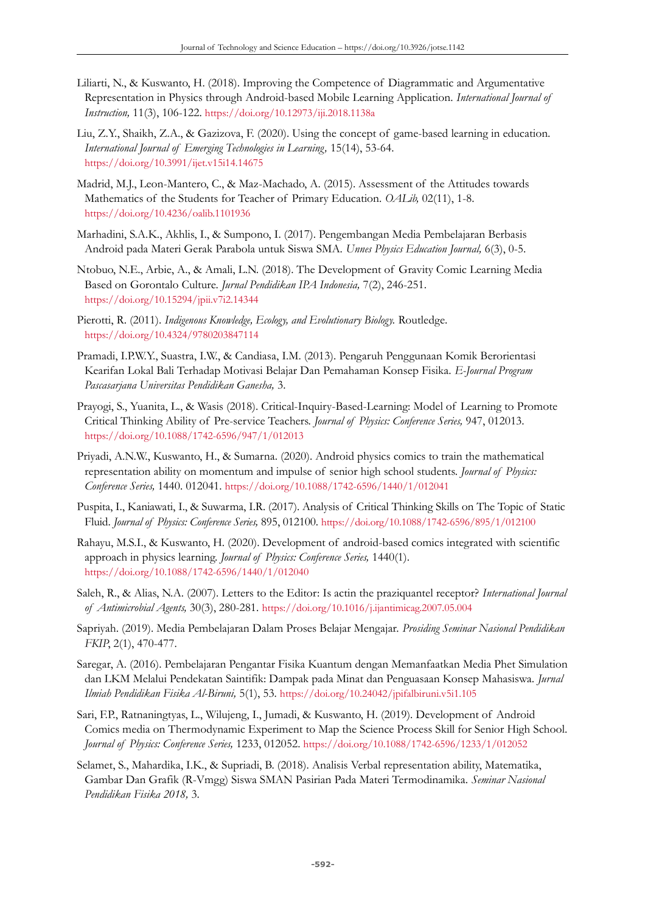- Liliarti, N., & Kuswanto, H. (2018). Improving the Competence of Diagrammatic and Argumentative Representation in Physics through Android-based Mobile Learning Application. *International Journal of Instruction,* 11(3), 106-122. <https://doi.org/10.12973/iji.2018.1138a>
- Liu, Z.Y., Shaikh, Z.A., & Gazizova, F. (2020). Using the concept of game-based learning in education. *International Journal of Emerging Technologies in Learning,* 15(14), 53-64. <https://doi.org/10.3991/ijet.v15i14.14675>
- Madrid, M.J., Leon-Mantero, C., & Maz-Machado, A. (2015). Assessment of the Attitudes towards Mathematics of the Students for Teacher of Primary Education. *OALib,* 02(11), 1-8. <https://doi.org/10.4236/oalib.1101936>
- Marhadini, S.A.K., Akhlis, I., & Sumpono, I. (2017). Pengembangan Media Pembelajaran Berbasis Android pada Materi Gerak Parabola untuk Siswa SMA. *Unnes Physics Education Journal,* 6(3), 0-5.
- Ntobuo, N.E., Arbie, A., & Amali, L.N. (2018). The Development of Gravity Comic Learning Media Based on Gorontalo Culture. *Jurnal Pendidikan IPA Indonesia,* 7(2), 246-251. <https://doi.org/10.15294/jpii.v7i2.14344>
- Pierotti, R. (2011). *Indigenous Knowledge, Ecology, and Evolutionary Biology.* Routledge. <https://doi.org/10.4324/9780203847114>
- Pramadi, I.P.W.Y., Suastra, I.W., & Candiasa, I.M. (2013). Pengaruh Penggunaan Komik Berorientasi Kearifan Lokal Bali Terhadap Motivasi Belajar Dan Pemahaman Konsep Fisika. *E-Journal Program Pascasarjana Universitas Pendidikan Ganesha,* 3.
- Prayogi, S., Yuanita, L., & Wasis (2018). Critical-Inquiry-Based-Learning: Model of Learning to Promote Critical Thinking Ability of Pre-service Teachers. *Journal of Physics: Conference Series,* 947, 012013. <https://doi.org/10.1088/1742-6596/947/1/012013>
- Priyadi, A.N.W., Kuswanto, H., & Sumarna. (2020). Android physics comics to train the mathematical representation ability on momentum and impulse of senior high school students. *Journal of Physics: Conference Series,* 1440. 012041. <https://doi.org/10.1088/1742-6596/1440/1/012041>
- Puspita, I., Kaniawati, I., & Suwarma, I.R. (2017). Analysis of Critical Thinking Skills on The Topic of Static Fluid. *Journal of Physics: Conference Series,* 895, 012100. <https://doi.org/10.1088/1742-6596/895/1/012100>
- Rahayu, M.S.I., & Kuswanto, H. (2020). Development of android-based comics integrated with scientific approach in physics learning. *Journal of Physics: Conference Series,* 1440(1). <https://doi.org/10.1088/1742-6596/1440/1/012040>
- Saleh, R., & Alias, N.A. (2007). Letters to the Editor: Is actin the praziquantel receptor? *International Journal of Antimicrobial Agents,* 30(3), 280-281. <https://doi.org/10.1016/j.ijantimicag.2007.05.004>
- Sapriyah. (2019). Media Pembelajaran Dalam Proses Belajar Mengajar. *Prosiding Seminar Nasional Pendidikan FKIP*, 2(1), 470-477.
- Saregar, A. (2016). Pembelajaran Pengantar Fisika Kuantum dengan Memanfaatkan Media Phet Simulation dan LKM Melalui Pendekatan Saintifik: Dampak pada Minat dan Penguasaan Konsep Mahasiswa. *Jurnal Ilmiah Pendidikan Fisika Al-Biruni,* 5(1), 53. <https://doi.org/10.24042/jpifalbiruni.v5i1.105>
- Sari, F.P., Ratnaningtyas, L., Wilujeng, I., Jumadi, & Kuswanto, H. (2019). Development of Android Comics media on Thermodynamic Experiment to Map the Science Process Skill for Senior High School. *Journal of Physics: Conference Series,* 1233, 012052. <https://doi.org/10.1088/1742-6596/1233/1/012052>
- Selamet, S., Mahardika, I.K., & Supriadi, B. (2018). Analisis Verbal representation ability, Matematika, Gambar Dan Grafik (R-Vmgg) Siswa SMAN Pasirian Pada Materi Termodinamika. *Seminar Nasional Pendidikan Fisika 2018,* 3.